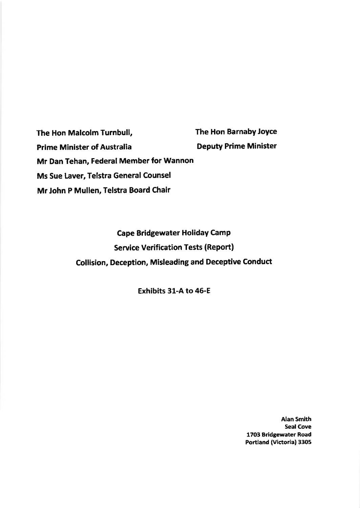The Hon Malcolm Turnbull, The Hon Barnaby Joyce Prime Minister of Australia Deputy Prime Minister Mr Dan Tehan, Federal Member for Wannon Ms Sue Laver, Telstra General Counsel Mr John P Mullen, Telstra Board Chair

> **Cape Bridgewater Holiday Camp** Service Verification Tests (Report) Collision, Deception, Misleading and Deceptive Conduct

> > Exhibits 31-A to 45-E

Alan Smith Seal Cove 1703 Bridgewater Road Portland (victoria) 3305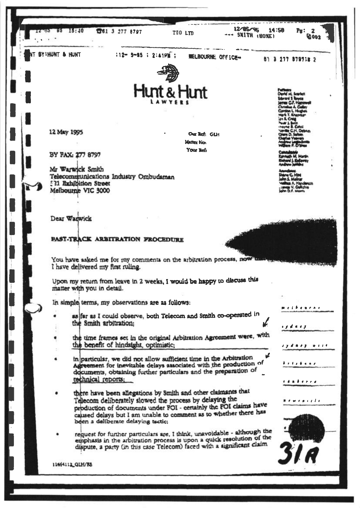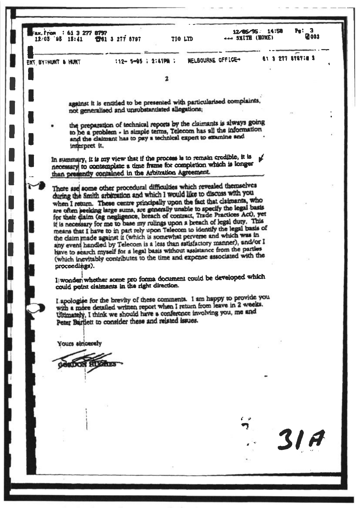|  | Fax. From : 61 3 277 8797 | 12.03 95 15:41 1361 3 277 8797                         |  |                     | TIO LTD |                                                                                                                                                                                                                                                                                                                                                                                                                                                                                                                                                                                                                                                                                                                          | 12/85/95 14:58<br>444 SMITH (HOME) | P <sub>S</sub> : 3<br><b>M</b> 003 |
|--|---------------------------|--------------------------------------------------------|--|---------------------|---------|--------------------------------------------------------------------------------------------------------------------------------------------------------------------------------------------------------------------------------------------------------------------------------------------------------------------------------------------------------------------------------------------------------------------------------------------------------------------------------------------------------------------------------------------------------------------------------------------------------------------------------------------------------------------------------------------------------------------------|------------------------------------|------------------------------------|
|  | ENT BY:HUNT & HUNT        |                                                        |  | 112-5-05 : 2:41PM : |         | HELBOURNE OFFICE+                                                                                                                                                                                                                                                                                                                                                                                                                                                                                                                                                                                                                                                                                                        |                                    | 61 3 277 879718 3                  |
|  |                           |                                                        |  |                     |         |                                                                                                                                                                                                                                                                                                                                                                                                                                                                                                                                                                                                                                                                                                                          |                                    |                                    |
|  |                           |                                                        |  |                     |         |                                                                                                                                                                                                                                                                                                                                                                                                                                                                                                                                                                                                                                                                                                                          |                                    |                                    |
|  |                           | not generalised and unsubstantiated allegations;       |  |                     |         | against it is entitled to be presented with particularised complaints,                                                                                                                                                                                                                                                                                                                                                                                                                                                                                                                                                                                                                                                   |                                    |                                    |
|  | interpret it.             |                                                        |  |                     |         | the preparation of technical reports by the claimants is always going<br>to be a problem - in simple terms, Telecom has all the information<br>and the claimant has to pay a technical expert to examine and                                                                                                                                                                                                                                                                                                                                                                                                                                                                                                             |                                    |                                    |
|  |                           | than presently contained in the Arbitration Agreement. |  |                     |         | In summary, it is my view that if the process is to remain credible, it is<br>necessary to contemplate a time frame for completion which is longer                                                                                                                                                                                                                                                                                                                                                                                                                                                                                                                                                                       |                                    |                                    |
|  |                           |                                                        |  |                     |         | There are some other procedural difficulties which revealed themselves<br>during the Smith arbitration and which I would like to discuss with you<br>when I return. These centre principally upon the fact that claimants, who<br>are often peeking large sums, are generally unable to specify the legal basis<br>for their diaim (eg negligence, breach of contract, Trade Practices Act), yet<br>it is necessary for me to base my rulings upon a breach of legal duty. This<br>means that I have to in part rely upon Telecom to identify the legal basis of<br>the claim made against it (which is somewhat perverse and which was in<br>any event handled by Telecom is a less than satisfactory manner), and/or I |                                    |                                    |
|  | proceedings).             | could point claimants in the right direction.          |  |                     |         | have to search myself for a legal basis without assistance from the parties<br>(which inevitably contributes to the time and expense associated with the<br>l'iwonder whether some pro forma document could be developed which                                                                                                                                                                                                                                                                                                                                                                                                                                                                                           |                                    |                                    |
|  |                           | Peter Bartlett to consider these and related issues.   |  |                     |         | I apologise for the brevity of these comments. I am happy to provide you<br>with a more detailed written report when I return from leave in 2 weeks.<br>Ultimately, I think we should have a conference involving you, me and                                                                                                                                                                                                                                                                                                                                                                                                                                                                                            |                                    |                                    |
|  | Yours sincerely           |                                                        |  |                     |         |                                                                                                                                                                                                                                                                                                                                                                                                                                                                                                                                                                                                                                                                                                                          |                                    |                                    |
|  |                           | <b>UXON HUGHE</b>                                      |  |                     |         |                                                                                                                                                                                                                                                                                                                                                                                                                                                                                                                                                                                                                                                                                                                          |                                    |                                    |
|  |                           |                                                        |  |                     |         |                                                                                                                                                                                                                                                                                                                                                                                                                                                                                                                                                                                                                                                                                                                          |                                    | 31 <sub>A</sub>                    |
|  |                           |                                                        |  |                     |         |                                                                                                                                                                                                                                                                                                                                                                                                                                                                                                                                                                                                                                                                                                                          |                                    |                                    |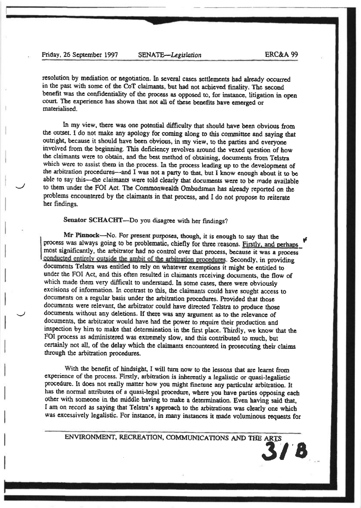resolution by mediation or negotiation. In several cases settlements had already occurred in the past with some of the CoT claimants, but had not achieved finality. The second bcnefit was thc confidentiality of the proccss as opposed to, for instance, litigation in open court. The experience has shown that not all of these benefits have emerged or matcrialised.

In my view, there was one potential difficulty that should have been obvious from the outset. I do not make any apology for coming along to this committee and saying that outright, because it should have been obvious, in my view, to the parties and everyone involved from the beginning. This deficiency revolves around the vexed question of how the claimants were to obtain, and the best method of obtaining, documents from Telstra which were to assist them in the process. In the process leading up to the development of the arbitration procedures-and I was not a party to that, but I know enough about it to be able to say this---the claimants were told clearly that documents were to be made available to them under the FOI Act. The Commonwealth Ombudsman has already reported on the problems encountered by the claimants in that process, and I do not propose to reiterate her findings.

Senator SCHACHT-Do you disagree with her findings?

Mr Pinnock-No. For present purposes, though, it is enough to say that the process was always going to be problematic, chiefly for three reasons. Firstly, and perhaps most significantly, the arbitrator had no control over that process, because it was a process conducted entirely outside the ambit of the arbitration procedures. Secondly, in providing documents Telstra was entitled to rely on whatever exemptions it might be entitled to under the FOI Act, and this often resulted in claimants receiving documents, the flow of which made them very difficult to understand. In some cases, there were obviously excisions of information. In contrast to this, the claimants could have sought access to documents on a regular basis under the arbitration procedures. Provided that those documents were relevant, the arbitrator could have directed Telstra to produce those documents without any deletions. If there was any argument as to the relevance of documents, the arbitrator would have had the power to require their production and inspection by him to make that determination in the first place. Thirdly, we know that the FOI process as administered was extremely slow, and this contributed to much, but certainly not all, of the delay which the claimants encountered in prosecuting their claims through the arbiration procedures.

With the benefit of hindsight, I will turn now to the lessons that are learnt from experience of the process. Firstly, arbitration is inherently a legalistic or quasi-legalistic procedure. It does not really matter how you might finctune any particular arbitration. It has the normal attriburcs of a quasi-lcgal procedurc, where you have panies opposing each other with someone in the middle having to make a determination. Even having said that, I am on record as saying that Telstra's approach to the arbitrations was clearly one which was excessively legalistic. For instance, in many instances it made voluminous requests for

ENVIRONMENT, RECREATION, COMMUNICATIONS AND THE ARTS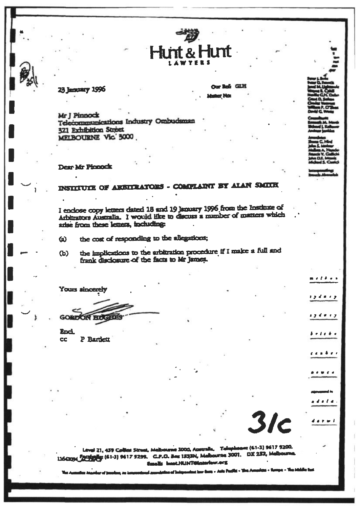funt & Hunt

23 January 1996

**Cur Ref** GLH e Nos

Mr J Pinnock Telecommunications Industry Ombudsman 321 Exhibition Street MELBOURNE Vic. 3000

Dear Mr Pinnock

## INSTITUTE OF ARBITRATORS - COMPLAINT BY ALAN SMITH

I enclose copy letters dated 18 and 19 January 1996 from the Institute of Arbitrators Australia. I would like to discuss a number of matters which arise from these lemers, including:

the cost of responding to the allegations:  $\boldsymbol{\omega}$ 

the implications to the arbitration procedure if I make a full and  $\mathbf{G}$ frank disclosure of the facts to Mr James.

Yours sincerely

**GORDON HOG** 

**End. CC** P Barden

 $3/c$ 

Level 21, 459 Colles Street, Melbourne 3000, Australia. Telephones (61-3) 9617 9200.<br>1160094 2022 84 (61-3) 9617 9298. G.P.O. Bes 1833N, Melbourne 3001. DX 252, Melbourne. Emails hunt.HUNTGlassfow.org

a tangitang at Anto Pauline - T

meté es

1 y d n + y

s y d e x y

 $c \cdot a \cdot b \cdot c$ 

 $\mathbf{d} \cdot \mathbf{d} \cdot \mathbf{d} \cdot \mathbf{d}$ 

a d'a d'a

 $d$  and  $r = 1$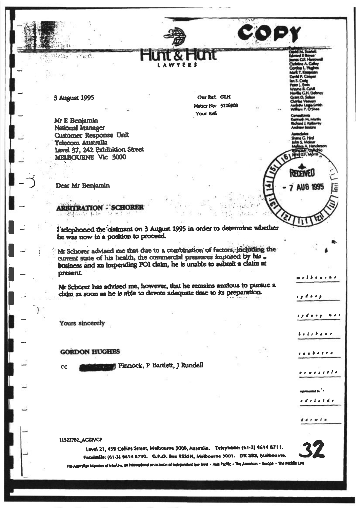3 August 1995

 $25.2$ 

 $\mathcal{N}_{\mathcal{M}}$ 

Mr E Benjamin **National Manager Customer Response Unit** Telecom Australia Level 37, 242 Exhibition Street MELBOURNE Vic 3000

Our Ref: GLH Matter No: 5126900 Your Ref:

COPY

**TELEVISI** 

**7 AUG 1995** 

elbearne

iydaey wer

**bindin bia min** 

ca a berra

<u>i e mara a a a d</u>a

والمعامد ed el et de

 $441918$ 

19 d = 19

Dear Mr Benjamin

**ARBITRATION - SCHOREE** 

I'telephoned the claimant on 3 August 1995 in order to determine whether he was now in a position to proceed.

Mr Schorer advised me that due to a combination of factors, including the current state of his health, the commercial pressures imposed by his. business and an impending FOI claim, he is unable to submit a claim at present.

Mr Schorer has advised me, however, that he remains anxious to pursue a claim as soon as he is able to devote adequate time to its preparation.

Yours sincerely

#### **GORDON HUGHES**

cc

Pinnock, P Bartlett, J Rundell

11522702\_ACZP/CF

Level 21, 459 Collins Street, Melbourne 3000, Australia. Telephone: (61-3) 9614 8711.

Facsimile: (61-3) 9614'6730. G.P.O. Bex 1533N, Melbourne 3001. DX 252, Malbourne.

The Australian Member of Interlaw, an International association of Independent law firms = Asia Pacific + The Americas + Europe + The Middle East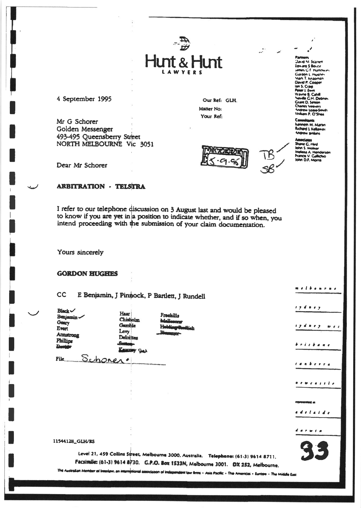# $\frac{4}{9}$ Hunt & Hunt

4 September 1995

Dear Mr Schorer

Mr G Schorer Golden Messenger 493-495 Queensberry Street NORTH MELBOURNE Vic 3051

Our Ref: GLH. Matter No: Your Ref:



vavne B. Cahill<br>Hiville C.H. Deb<br>Jrant D. Semon s veevers<br>w Lope-Si w Lome-smi<br>n P. O'Shea **unnem M. Martin** nemem m. marim<br>Richard J. Kellaway<br>Andrew Jenkins

**Javid At Scarier** Edward 5 Boyce **UMMIN C.F. HUTTON IN** Curgon L. Huster<br>Mark T. Anapman<br>David P. Cooper Lan S. Craw<br>Peter L. Ewy

winne une G. Hind<br>hn S. Malnar Melesa A. Henders<br>Francis V. Gallichio<br>John D.F, Morris

#### **ARBITRATION - TELSTRA**

I refer to our telephone discussion on 3 August last and would be pleased to know if you are yet in a position to indicate whether, and if so when, you intend proceeding with the submission of your claim documentation.

Yours sincerely

**GORDON HUGHES** 

CC E Benjamin, J Pinnock, P Bartlett, J Rundell

Haar |

 $Black \sim$ Benjamin Geary Evert **Amatrong** Phillips **Danis** 

Chisholm Gamble Levy **Deloittes** By See

Freehills

File Schoner.

ry da ey

m *e L b o n e n e* 

<u>i y d n e y</u>  $w + s$ 

brisbane

canberra

*. . . . . . . . .* 

a a a de La Lde

 $A \cdot P \cdot \mathbf{w} \cdot f \cdot \mathbf{n}$ 

11544128\_GLH/RS

Level 21, 459 Collins Street, Melbourne 3000, Australia. Telephone: (61-3) 9614 8711.

Facsimile: (61-3) 9614 8730. G.P.O. Box 1533N, Melbourne 3001. DX 252, Melbourne.

er of Interlaw, an international association of Inder n law firms - Asia Pacific - The Americas - Europe - The Middle East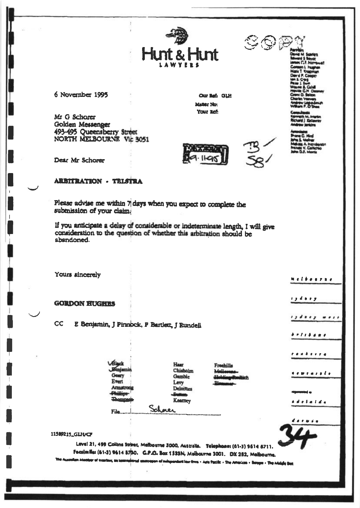

 $\mathbb{C} \mathbb{O} \mathbb{P}$ 

6 November 1995

Mr G Schorer Golden Messenger 493-495 Queensberry Street<br>NORTH MELBOURNE Vic 3051

Dear Mr Schorer

### **ARBITRATION - TRISTRA**

Please advise me within 7 days when you expect to complete the subtnission of your claim.

If you anticipate a delay of considerable or indeterminate length, I will give consideration to the question of whether this arbitration should be abandoned.

Yours sincerely

**GORDON HUGHES** 

 $CC$ E Benjamin, J Pinnock, P Bartlett, J Rundell

> Evert Armstrong Dhilling Schnei File...

1.

4. a. e. <u>a</u>. a. a.

delatas

**Helbourne** 

,,,,,, ,,,,

*. . . . . . . .* 

<u>ranê eve</u> a

n e me a e e d'e

194889

#### 11589215\_GLH/CF

Level 21, 499 Collins Street, Melbourne 3000, Australia. Telephone: (61-3) 9614 8711. Facsimile: (61-3) 9614 870. G.P.O. Box 1533N, Melbourne 3001. DX 252, Melbourne.

ir of interlevs, an leastrational abstractor of independent law firms - Acts Pacific - The Americas + Berges + The Middle Best

Haar Chisholm

Levy

Gamble

Deloittes

Keamey



Our Beh GLH

**Matter Mrs** Your Ref:

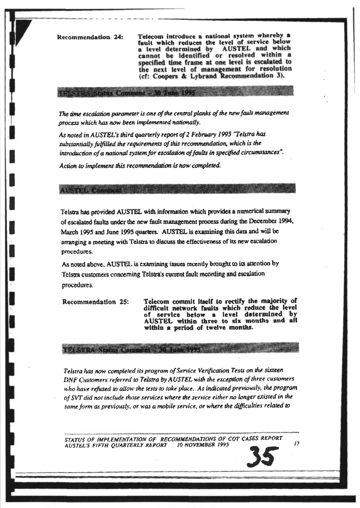**Recommendation 24:** 

**RESERVATION COMMUNISTIES** 

Telecom introduce a national system whereby a fault which reduces the level of service below a level determined by **AUSTEL** and which cannot be identified or resolved within a specified time frame at one level is escalated to the next level of management for resolution (cf: Coopers & Lybrand Recommendation 3).

The time escalation parameter is one of the central planks of the new fault management process which has now been implemented nationally.

As noted in AUSTEL's third quarterly report of 2 February 1995 "Telstra has substantially fulfilled the requirements of this recommendation, which is the introduction of a national system for escalation of faults in specified circumstances".

Action to implement this recommendation is now completed.

PELSTRA Norm Compenie A) June 1995

**TIGHT STATE** 

Telstra has provided AUSTEL with information which provides a numerical summary of escalated faults under the new fault management process during the December 1994, March 1995 and June 1995 quarters. AUSTEL is examining this data and will be arranging a meeting with Telstra to discuss the effectiveness of its new escalation procedures.

As noted above, AUSTEL is examining issues recently brought to its attention by Telstra customers concerning Telstra's current fault recording and escalation procedures.

Telecom commit itself to rectify the majority of Recommendation 25: difficult network faults which reduce the level of service below a level determined by AUSTEL within three to six months and all within a period of twelve months.

Telstra has now completed its program of Service Verification Tests on the sixteen DNF Customers referred to Telstra by AUSTEL with the exception of three customers who have refused to allow the tests to take place. As indicated previously, the program of SVT did not include those services where the service either no longer existed in the same form as previously, or was a mobile service, or where the difficulties related to

STATUS OF IMPLEMENTATION OF RECOMMENDATIONS OF COT CASES REPORT **AUSTEL'S FIFTH QUARTERLY REPORT** 10 NOVEMBER 1995

 $17$